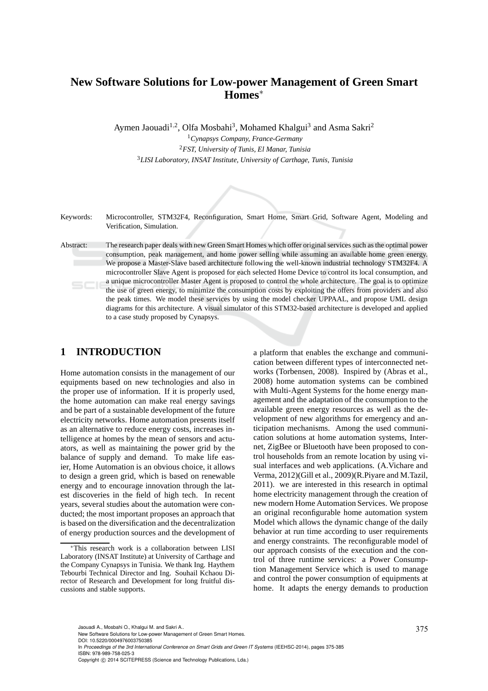# **New Software Solutions for Low-power Management of Green Smart Homes**<sup>∗</sup>

Aymen Jaouadi<sup>1,2</sup>, Olfa Mosbahi<sup>3</sup>, Mohamed Khalgui<sup>3</sup> and Asma Sakri<sup>2</sup>

<sup>1</sup>*Cynapsys Company, France-Germany* <sup>2</sup>*FST, University of Tunis, El Manar, Tunisia* <sup>3</sup>*LISI Laboratory, INSAT Institute, University of Carthage, Tunis, Tunisia*

Keywords: Microcontroller, STM32F4, Reconfiguration, Smart Home, Smart Grid, Software Agent, Modeling and Verification, Simulation.

Abstract: The research paper deals with new Green Smart Homes which offer original services such as the optimal power consumption, peak management, and home power selling while assuming an available home green energy. We propose a Master-Slave based architecture following the well-known industrial technology STM32F4. A microcontroller Slave Agent is proposed for each selected Home Device to control its local consumption, and a unique microcontroller Master Agent is proposed to control the whole architecture. The goal is to optimize the use of green energy, to minimize the consumption costs by exploiting the offers from providers and also the peak times. We model these services by using the model checker UPPAAL, and propose UML design diagrams for this architecture. A visual simulator of this STM32-based architecture is developed and applied to a case study proposed by Cynapsys.

# **1 INTRODUCTION**

Home automation consists in the management of our equipments based on new technologies and also in the proper use of information. If it is properly used, the home automation can make real energy savings and be part of a sustainable development of the future electricity networks. Home automation presents itself as an alternative to reduce energy costs, increases intelligence at homes by the mean of sensors and actuators, as well as maintaining the power grid by the balance of supply and demand. To make life easier, Home Automation is an obvious choice, it allows to design a green grid, which is based on renewable energy and to encourage innovation through the latest discoveries in the field of high tech. In recent years, several studies about the automation were conducted; the most important proposes an approach that is based on the diversification and the decentralization of energy production sources and the development of

a platform that enables the exchange and communication between different types of interconnected networks (Torbensen, 2008). Inspired by (Abras et al., 2008) home automation systems can be combined with Multi-Agent Systems for the home energy management and the adaptation of the consumption to the available green energy resources as well as the development of new algorithms for emergency and anticipation mechanisms. Among the used communication solutions at home automation systems, Internet, ZigBee or Bluetooth have been proposed to control households from an remote location by using visual interfaces and web applications. (A.Vichare and Verma, 2012)(Gill et al., 2009)(R.Piyare and M.Tazil, 2011). we are interested in this research in optimal home electricity management through the creation of new modern Home Automation Services. We propose an original reconfigurable home automation system Model which allows the dynamic change of the daily behavior at run time according to user requirements and energy constraints. The reconfigurable model of our approach consists of the execution and the control of three runtime services: a Power Consumption Management Service which is used to manage and control the power consumption of equipments at home. It adapts the energy demands to production

DOI: 10.5220/0004976003750385

<sup>∗</sup>This research work is a collaboration between LISI Laboratory (INSAT Institute) at University of Carthage and the Company Cynapsys in Tunisia. We thank Ing. Haythem Tebourbi Technical Director and Ing. Souhail Kchaou Director of Research and Development for long fruitful discussions and stable supports.

Jaouadi A., Mosbahi O., Khalgui M. and Sakri A..<br>New Software Solutions for Low-power Management of Green Smart Homes.

In *Proceedings of the 3rd International Conference on Smart Grids and Green IT Systems* (IEEHSC-2014), pages 375-385 ISBN: 978-989-758-025-3

Copyright © 2014 SCITEPRESS (Science and Technology Publications, Lda.)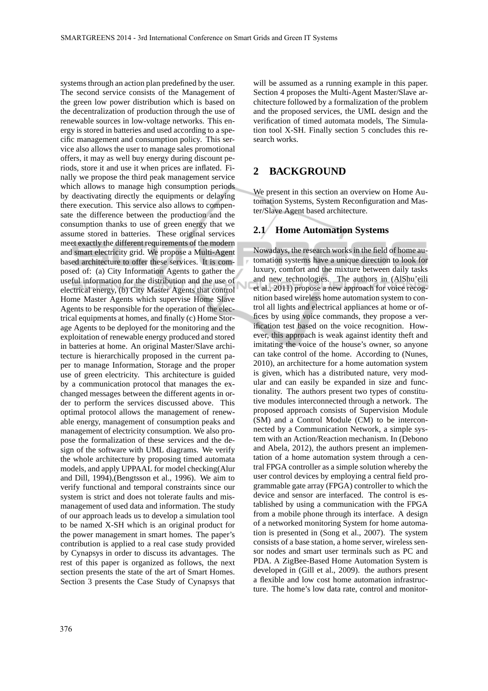systems through an action plan predefined by the user. The second service consists of the Management of the green low power distribution which is based on the decentralization of production through the use of renewable sources in low-voltage networks. This energy is stored in batteries and used according to a specific management and consumption policy. This service also allows the user to manage sales promotional offers, it may as well buy energy during discount periods, store it and use it when prices are inflated. Finally we propose the third peak management service which allows to manage high consumption periods by deactivating directly the equipments or delaying there execution. This service also allows to compensate the difference between the production and the consumption thanks to use of green energy that we assume stored in batteries. These original services meet exactly the different requirements of the modern and smart electricity grid. We propose a Multi-Agent based architecture to offer these services. It is composed of: (a) City Information Agents to gather the useful information for the distribution and the use of electrical energy, (b) City Master Agents that control Home Master Agents which supervise Home Slave Agents to be responsible for the operation of the electrical equipments at homes, and finally (c) Home Storage Agents to be deployed for the monitoring and the exploitation of renewable energy produced and stored in batteries at home. An original Master/Slave architecture is hierarchically proposed in the current paper to manage Information, Storage and the proper use of green electricity. This architecture is guided by a communication protocol that manages the exchanged messages between the different agents in order to perform the services discussed above. This optimal protocol allows the management of renewable energy, management of consumption peaks and management of electricity consumption. We also propose the formalization of these services and the design of the software with UML diagrams. We verify the whole architecture by proposing timed automata models, and apply UPPAAL for model checking(Alur and Dill, 1994),(Bengtsson et al., 1996). We aim to verify functional and temporal constraints since our system is strict and does not tolerate faults and mismanagement of used data and information. The study of our approach leads us to develop a simulation tool to be named X-SH which is an original product for the power management in smart homes. The paper's contribution is applied to a real case study provided by Cynapsys in order to discuss its advantages. The rest of this paper is organized as follows, the next section presents the state of the art of Smart Homes. Section 3 presents the Case Study of Cynapsys that

will be assumed as a running example in this paper. Section 4 proposes the Multi-Agent Master/Slave architecture followed by a formalization of the problem and the proposed services, the UML design and the verification of timed automata models, The Simulation tool X-SH. Finally section 5 concludes this research works.

## **2 BACKGROUND**

We present in this section an overview on Home Automation Systems, System Reconfiguration and Master/Slave Agent based architecture.

## **2.1 Home Automation Systems**

Nowadays, the research works in the field of home automation systems have a unique direction to look for luxury, comfort and the mixture between daily tasks and new technologies. The authors in (AlShu'eili et al., 2011) propose a new approach for voice recognition based wireless home automation system to control all lights and electrical appliances at home or offices by using voice commands, they propose a verification test based on the voice recognition. However, this approach is weak against identity theft and imitating the voice of the house's owner, so anyone can take control of the home. According to (Nunes, 2010), an architecture for a home automation system is given, which has a distributed nature, very modular and can easily be expanded in size and functionality. The authors present two types of constitutive modules interconnected through a network. The proposed approach consists of Supervision Module (SM) and a Control Module (CM) to be interconnected by a Communication Network, a simple system with an Action/Reaction mechanism. In (Debono and Abela, 2012), the authors present an implementation of a home automation system through a central FPGA controller as a simple solution whereby the user control devices by employing a central field programmable gate array (FPGA) controller to which the device and sensor are interfaced. The control is established by using a communication with the FPGA from a mobile phone through its interface. A design of a networked monitoring System for home automation is presented in (Song et al., 2007). The system consists of a base station, a home server, wireless sensor nodes and smart user terminals such as PC and PDA. A ZigBee-Based Home Automation System is developed in (Gill et al., 2009). the authors present a flexible and low cost home automation infrastructure. The home's low data rate, control and monitor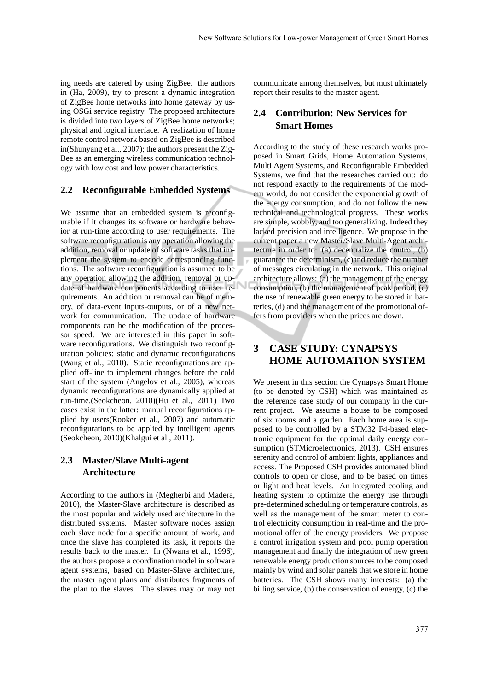ing needs are catered by using ZigBee. the authors in (Ha, 2009), try to present a dynamic integration of ZigBee home networks into home gateway by using OSGi service registry. The proposed architecture is divided into two layers of ZigBee home networks; physical and logical interface. A realization of home remote control network based on ZigBee is described in(Shunyang et al., 2007); the authors present the Zig-Bee as an emerging wireless communication technology with low cost and low power characteristics.

## **2.2 Reconfigurable Embedded Systems**

We assume that an embedded system is reconfigurable if it changes its software or hardware behavior at run-time according to user requirements. The software reconfiguration is any operation allowing the addition, removal or update of software tasks that implement the system to encode corresponding functions. The software reconfiguration is assumed to be any operation allowing the addition, removal or update of hardware components according to user requirements. An addition or removal can be of memory, of data-event inputs-outputs, or of a new network for communication. The update of hardware components can be the modification of the processor speed. We are interested in this paper in software reconfigurations. We distinguish two reconfiguration policies: static and dynamic reconfigurations (Wang et al., 2010). Static reconfigurations are applied off-line to implement changes before the cold start of the system (Angelov et al., 2005), whereas dynamic reconfigurations are dynamically applied at run-time.(Seokcheon, 2010)(Hu et al., 2011) Two cases exist in the latter: manual reconfigurations applied by users(Rooker et al., 2007) and automatic reconfigurations to be applied by intelligent agents (Seokcheon, 2010)(Khalgui et al., 2011).

# **2.3 Master/Slave Multi-agent Architecture**

According to the authors in (Megherbi and Madera, 2010), the Master-Slave architecture is described as the most popular and widely used architecture in the distributed systems. Master software nodes assign each slave node for a specific amount of work, and once the slave has completed its task, it reports the results back to the master. In (Nwana et al., 1996), the authors propose a coordination model in software agent systems, based on Master-Slave architecture, the master agent plans and distributes fragments of the plan to the slaves. The slaves may or may not communicate among themselves, but must ultimately report their results to the master agent.

# **2.4 Contribution: New Services for Smart Homes**

According to the study of these research works proposed in Smart Grids, Home Automation Systems, Multi Agent Systems, and Reconfigurable Embedded Systems, we find that the researches carried out: do not respond exactly to the requirements of the modern world, do not consider the exponential growth of the energy consumption, and do not follow the new technical and technological progress. These works are simple, wobbly, and too generalizing. Indeed they lacked precision and intelligence. We propose in the current paper a new Master/Slave Multi-Agent architecture in order to: (a) decentralize the control, (b) guarantee the determinism, (c)and reduce the number of messages circulating in the network. This original architecture allows: (a) the management of the energy consumption, (b) the management of peak period, (c) the use of renewable green energy to be stored in batteries, (d) and the management of the promotional offers from providers when the prices are down.

# **3 CASE STUDY: CYNAPSYS HOME AUTOMATION SYSTEM**

We present in this section the Cynapsys Smart Home (to be denoted by CSH) which was maintained as the reference case study of our company in the current project. We assume a house to be composed of six rooms and a garden. Each home area is supposed to be controlled by a STM32 F4-based electronic equipment for the optimal daily energy consumption (STMicroelectronics, 2013). CSH ensures serenity and control of ambient lights, appliances and access. The Proposed CSH provides automated blind controls to open or close, and to be based on times or light and heat levels. An integrated cooling and heating system to optimize the energy use through pre-determined scheduling or temperature controls, as well as the management of the smart meter to control electricity consumption in real-time and the promotional offer of the energy providers. We propose a control irrigation system and pool pump operation management and finally the integration of new green renewable energy production sources to be composed mainly by wind and solar panels that we store in home batteries. The CSH shows many interests: (a) the billing service, (b) the conservation of energy, (c) the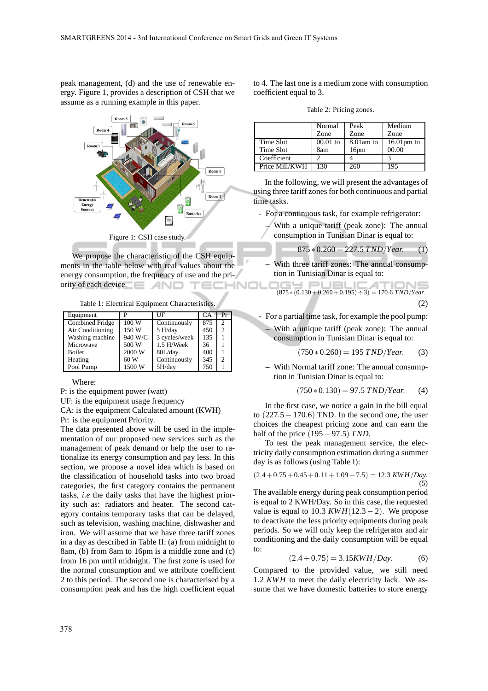peak management, (d) and the use of renewable energy. Figure 1, provides a description of CSH that we assume as a running example in this paper.



We propose the characteristic of the CSH equipments in the table below with real values about the energy consumption, the frequency of use and the priority of each device. INOL

Table 1: Electrical Equipment Characteristics.

| Equipment              |         | НF            | СA  | Pr             |
|------------------------|---------|---------------|-----|----------------|
| <b>Combined Fridge</b> | 100W    | Continuously  | 875 | $\overline{2}$ |
| Air Conditioning       | 150 W   | 5 H/day       | 450 | $\mathfrak{D}$ |
| Washing machine        | 940 W/C | 3 cycles/week | 135 |                |
| Microwave              | 500 W   | 1.5 H/Week    | 36  |                |
| <b>Boiler</b>          | 2000 W  | 80L/day       | 400 |                |
| Heating                | 60 W    | Continuously  | 345 | $\mathfrak{D}$ |
| Pool Pump              | 1500 W  | 5H/day        | 750 |                |

Where:

P: is the equipment power (watt)

UF: is the equipment usage frequency

CA: is the equipment Calculated amount (KWH)

Pr: is the equipment Priority.

The data presented above will be used in the implementation of our proposed new services such as the management of peak demand or help the user to rationalize its energy consumption and pay less. In this section, we propose a novel idea which is based on the classification of household tasks into two broad categories, the first category contains the permanent tasks, *i*.*e* the daily tasks that have the highest priority such as: radiators and heater. The second category contains temporary tasks that can be delayed, such as television, washing machine, dishwasher and iron. We will assume that we have three tariff zones in a day as described in Table II: (a) from midnight to 8am, (b) from 8am to 16pm is a middle zone and (c) from 16 pm until midnight. The first zone is used for the normal consumption and we attribute coefficient 2 to this period. The second one is characterised by a consumption peak and has the high coefficient equal

to 4. The last one is a medium zone with consumption coefficient equal to 3.

Table 2: Pricing zones.

|                | Normal     | Peak             | Medium               |
|----------------|------------|------------------|----------------------|
|                | Zone       | Zone             | Zone                 |
|                |            |                  |                      |
| Time Slot      | $00.01$ to | 8.01 am to       | $16.01 \text{pm}$ to |
| Time Slot      | 8am        | 16 <sub>pm</sub> | 00.00                |
| Coefficient    |            |                  |                      |
| Price Mill/KWH | 130        | 61               | 195                  |

In the following, we will present the advantages of using three tariff zones for both continuous and partial time tasks.

- For a continuous task, for example refrigerator:
	- **–** With a unique tariff (peak zone): The annual consumption in Tunisian Dinar is equal to:

$$
875 * 0.260 = 227.5 \, TND/Year. \qquad (1)
$$

**–** With three tariff zones: The annual consumption in Tunisian Dinar is equal to:

$$
(875*(0.130+0.260+0.195) \div 3) = 170.6 \text{ TND/Year}.
$$
\n(2)

- For a partial time task, for example the pool pump:
	- **–** With a unique tariff (peak zone): The annual consumption in Tunisian Dinar is equal to:

$$
(750 * 0.260) = 195 \, TND/Year. \tag{3}
$$

**–** With Normal tariff zone: The annual consumption in Tunisian Dinar is equal to:

$$
(750 * 0.130) = 97.5 \text{ TND/Year.} (4)
$$

In the first case, we notice a gain in the bill equal to  $(227.5 - 170.6)$  TND. In the second one, the user choices the cheapest pricing zone and can earn the half of the price (195−97.5) *T ND*.

To test the peak management service, the electricity daily consumption estimation during a summer day is as follows (using Table I):

$$
(2.4 + 0.75 + 0.45 + 0.11 + 1.09 + 7.5) = 12.3 KWH/Day.
$$
\n(5)

The available energy during peak consumption period is equal to 2 KWH/Day. So in this case, the requested value is equal to 10.3  $KWH(12.3-2)$ . We propose to deactivate the less priority equipments during peak periods. So we will only keep the refrigerator and air conditioning and the daily consumption will be equal to:

$$
(2.4 + 0.75) = 3.15KWH/Day.
$$
 (6)

Compared to the provided value, we still need 1.2 *KWH* to meet the daily electricity lack. We assume that we have domestic batteries to store energy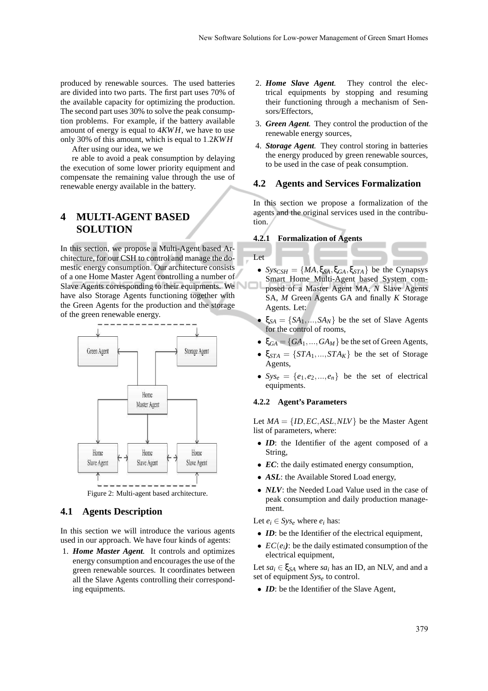produced by renewable sources. The used batteries are divided into two parts. The first part uses 70% of the available capacity for optimizing the production. The second part uses 30% to solve the peak consumption problems. For example, if the battery available amount of energy is equal to 4*KWH*, we have to use only 30% of this amount, which is equal to 1.2*KWH*

After using our idea, we we

re able to avoid a peak consumption by delaying the execution of some lower priority equipment and compensate the remaining value through the use of renewable energy available in the battery.

# **4 MULTI-AGENT BASED SOLUTION**

In this section, we propose a Multi-Agent based Architecture, for our CSH to control and manage the domestic energy consumption. Our architecture consists of a one Home Master Agent controlling a number of Slave Agents corresponding to their equipments. We have also Storage Agents functioning together with the Green Agents for the production and the storage of the green renewable energy.



## **4.1 Agents Description**

In this section we will introduce the various agents used in our approach. We have four kinds of agents:

1. *Home Master Agent.* It controls and optimizes energy consumption and encourages the use of the green renewable sources. It coordinates between all the Slave Agents controlling their corresponding equipments.

- 2. *Home Slave Agent.* They control the electrical equipments by stopping and resuming their functioning through a mechanism of Sensors/Effectors,
- 3. *Green Agent.* They control the production of the renewable energy sources,
- 4. *Storage Agent.* They control storing in batteries the energy produced by green renewable sources, to be used in the case of peak consumption.

### **4.2 Agents and Services Formalization**

In this section we propose a formalization of the agents and the original services used in the contribution.

#### **4.2.1 Formalization of Agents**

Let

- $\mathcal{S}y\mathcal{S}_{CSH} = \{MA, \xi_{SA}, \xi_{GA}, \xi_{STA}\}\$ be the Cynapsys Smart Home Multi-Agent based System composed of a Master Agent MA, *N* Slave Agents SA, *M* Green Agents GA and finally *K* Storage Agents. Let:
- $\xi_{SA} = \{SA_1, \ldots, SA_N\}$  be the set of Slave Agents for the control of rooms,
- $\bullet$   $\xi_{GA} = \{GA_1, ..., GA_M\}$  be the set of Green Agents,
- $\xi_{STA} = \{STA_1, ..., STA_K\}$  be the set of Storage Agents,
- $Sys_e = \{e_1, e_2, ..., e_n\}$  be the set of electrical equipments.

#### **4.2.2 Agent's Parameters**

Let  $MA = \{ID, EC, ASL, NLV\}$  be the Master Agent list of parameters, where:

- *ID*: the Identifier of the agent composed of a String,
- *EC*: the daily estimated energy consumption,
- ASL: the Available Stored Load energy,
- *NLV*: the Needed Load Value used in the case of peak consumption and daily production management.

Let  $e_i \in Sys_e$  where  $e_i$  has:

- *ID*: be the Identifier of the electrical equipment,
- $EC(e_i)$ : be the daily estimated consumption of the electrical equipment,

Let  $sa_i \in \xi_{SA}$  where  $sa_i$  has an ID, an NLV, and and a set of equipment *Sys<sup>e</sup>* to control.

• *ID*: be the Identifier of the Slave Agent,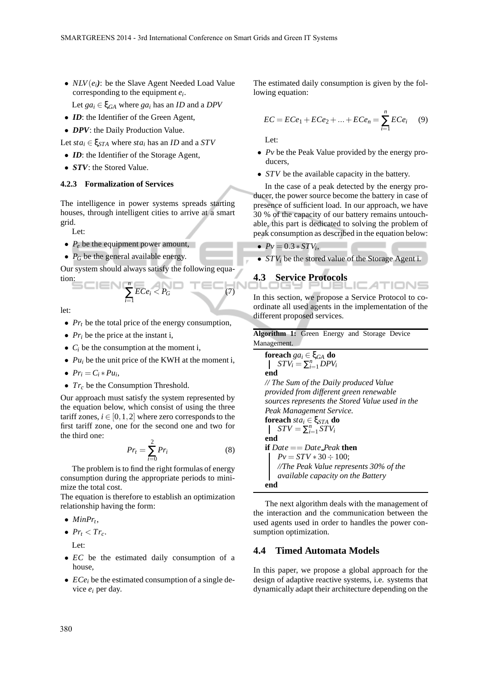• *NLV*(*ei)*: be the Slave Agent Needed Load Value corresponding to the equipment *e<sup>i</sup>* .

Let  $ga_i \in \xi_{GA}$  where  $ga_i$  has an *ID* and a *DPV* 

- *ID*: the Identifier of the Green Agent,
- *DPV*: the Daily Production Value.

Let  $sta_i \in \xi_{STA}$  where  $sta_i$  has an *ID* and a *STV* 

- *ID*: the Identifier of the Storage Agent,
- *STV*: the Stored Value.

#### **4.2.3 Formalization of Services**

The intelligence in power systems spreads starting houses, through intelligent cities to arrive at a smart grid.

Let:

- $P_e$  be the equipment power amount,
- $P_G$  be the general available energy.

Our system should always satisfy the following equation: *n* ∑ *i*=1

$$
\mathop{\sf SCIEN} (
$$

let:

- *Pr<sub>t</sub>* be the total price of the energy consumption,
- $Pr_i$  be the price at the instant i,
- $C_i$  be the consumption at the moment i,
- $Pu_i$  be the unit price of the KWH at the moment i,
- $Pr_i = C_i * Pu_i,$
- *Tr<sub>c</sub>* be the Consumption Threshold.

Our approach must satisfy the system represented by the equation below, which consist of using the three tariff zones,  $i \in [0,1,2]$  where zero corresponds to the first tariff zone, one for the second one and two for the third one:

$$
Pr_t = \sum_{i=0}^{2} Pr_i
$$
 (8)

 $ECe_i < P_G$  (7)

The problem is to find the right formulas of energy consumption during the appropriate periods to minimize the total cost.

The equation is therefore to establish an optimization relationship having the form:

- $\bullet$  *MinPr<sub>t</sub>*,
- $Pr_t < Tr_c$ . Let:
- *EC* be the estimated daily consumption of a house,
- *ECe<sub>i</sub>* be the estimated consumption of a single device *e<sup>i</sup>* per day.

The estimated daily consumption is given by the following equation:

$$
EC = ECe_1 + ECe_2 + ... + ECe_n = \sum_{i=1}^{n} ECe_i \quad (9)
$$

Let:

- *Pv* be the Peak Value provided by the energy producers,
- *STV* be the available capacity in the battery.

In the case of a peak detected by the energy producer, the power source become the battery in case of presence of sufficient load. In our approach, we have 30 % of the capacity of our battery remains untouchable, this part is dedicated to solving the problem of peak consumption as described in the equation below:

•  $Pv = 0.3 * STV_i$ 

```
• STVi be the stored value of the Storage Agent i.
```
# **4.3 Service Protocols**

In this section, we propose a Service Protocol to coordinate all used agents in the implementation of the different proposed services.

**Algorithm 1:** Green Energy and Storage Device Management.

**forecast** 
$$
ga_i \in \xi_{GA}
$$
 **do**  
\n
$$
\begin{cases}\nSTV_i = \sum_{i=1}^{n} DPV_i \\
end\n\end{cases}
$$
\n// The Sum of the Daily produced Value

*provided from different green renewable sources represents the Stored Value used in the Peak Management Service.* **foreach** *sta<sup>i</sup>* ∈ ξ*STA* **do**  $STV = \sum_{i=1}^{n} STV_i$ **end**

**if** *Date* == *Date Peak* **then**  $Pv = STV * 30 \div 100;$ *//The Peak Value represents 30% of the available capacity on the Battery* **end**

The next algorithm deals with the management of the interaction and the communication between the used agents used in order to handles the power consumption optimization.

## **4.4 Timed Automata Models**

In this paper, we propose a global approach for the design of adaptive reactive systems, i.e. systems that dynamically adapt their architecture depending on the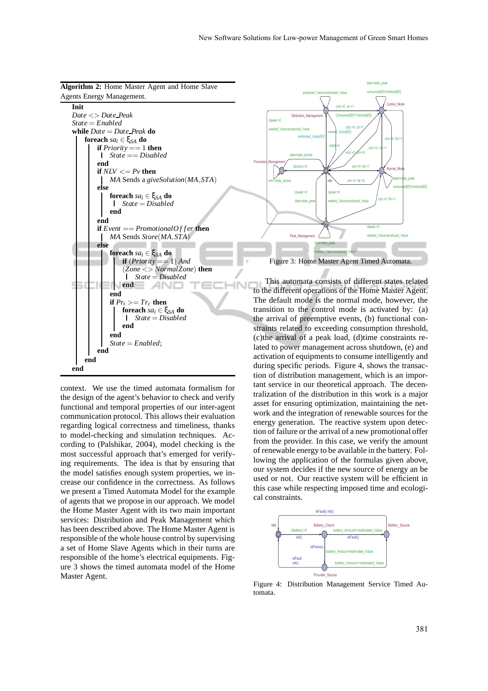

context. We use the timed automata formalism for the design of the agent's behavior to check and verify functional and temporal properties of our inter-agent communication protocol. This allows their evaluation regarding logical correctness and timeliness, thanks to model-checking and simulation techniques. According to (Palshikar, 2004), model checking is the most successful approach that's emerged for verifying requirements. The idea is that by ensuring that the model satisfies enough system properties, we increase our confidence in the correctness. As follows we present a Timed Automata Model for the example of agents that we propose in our approach. We model the Home Master Agent with its two main important services: Distribution and Peak Management which has been described above. The Home Master Agent is responsible of the whole house control by supervising a set of Home Slave Agents which in their turns are responsible of the home's electrical equipments. Figure 3 shows the timed automata model of the Home Master Agent.



This automata consists of different states related to the different operations of the Home Master Agent. The default mode is the normal mode, however, the transition to the control mode is activated by: (a) the arrival of preemptive events, (b) functional constraints related to exceeding consumption threshold, (c)the arrival of a peak load, (d)time constraints related to power management across shutdown, (e) and activation of equipments to consume intelligently and during specific periods. Figure 4, shows the transaction of distribution management, which is an important service in our theoretical approach. The decentralization of the distribution in this work is a major asset for ensuring optimization, maintaining the network and the integration of renewable sources for the energy generation. The reactive system upon detection of failure or the arrival of a new promotional offer from the provider. In this case, we verify the amount of renewable energy to be available in the battery. Following the application of the formulas given above, our system decides if the new source of energy an be used or not. Our reactive system will be efficient in this case while respecting imposed time and ecological constraints.



Figure 4: Distribution Management Service Timed Automata.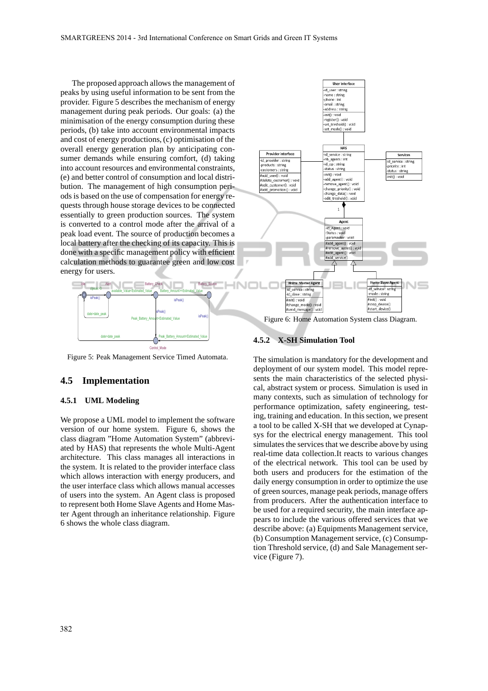The proposed approach allows the management of peaks by using useful information to be sent from the provider. Figure 5 describes the mechanism of energy management during peak periods. Our goals: (a) the minimisation of the energy consumption during these periods, (b) take into account environmental impacts and cost of energy productions, (c) optimisation of the overall energy generation plan by anticipating consumer demands while ensuring comfort, (d) taking into account resources and environmental constraints, (e) and better control of consumption and local distribution. The management of high consumption periods is based on the use of compensation for energy requests through house storage devices to be connected essentially to green production sources. The system is converted to a control mode after the arrival of a peak load event. The source of production becomes a local battery after the checking of its capacity. This is done with a specific management policy with efficient calculation methods to guarantee green and low cost energy for users.



Figure 5: Peak Management Service Timed Automata.

## **4.5 Implementation**

## **4.5.1 UML Modeling**

We propose a UML model to implement the software version of our home system. Figure 6, shows the class diagram "Home Automation System" (abbreviated by HAS) that represents the whole Multi-Agent architecture. This class manages all interactions in the system. It is related to the provider interface class which allows interaction with energy producers, and the user interface class which allows manual accesses of users into the system. An Agent class is proposed to represent both Home Slave Agents and Home Master Agent through an inheritance relationship. Figure 6 shows the whole class diagram.



Figure 6: Home Automation System class Diagram.

#### **4.5.2 X-SH Simulation Tool**

IN

The simulation is mandatory for the development and deployment of our system model. This model represents the main characteristics of the selected physical, abstract system or process. Simulation is used in many contexts, such as simulation of technology for performance optimization, safety engineering, testing, training and education. In this section, we present a tool to be called X-SH that we developed at Cynapsys for the electrical energy management. This tool simulates the services that we describe above by using real-time data collection.It reacts to various changes of the electrical network. This tool can be used by both users and producers for the estimation of the daily energy consumption in order to optimize the use of green sources, manage peak periods, manage offers from producers. After the authentication interface to be used for a required security, the main interface appears to include the various offered services that we describe above: (a) Equipments Management service, (b) Consumption Management service, (c) Consumption Threshold service, (d) and Sale Management service (Figure 7).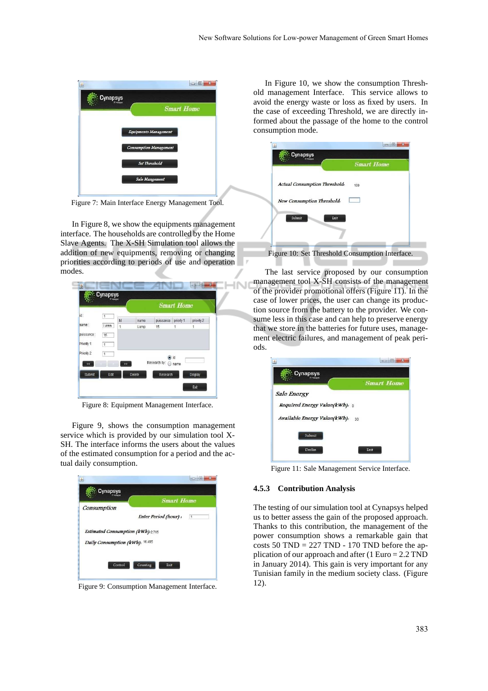

Figure 7: Main Interface Energy Management Tool.

In Figure 8, we show the equipments management interface. The households are controlled by the Home Slave Agents. The X-SH Simulation tool allows the addition of new equipments, removing or changing priorities according to periods of use and operation modes.

INI

|                       |                                  |                      |        |                     | <b>Smart Home</b> |            |
|-----------------------|----------------------------------|----------------------|--------|---------------------|-------------------|------------|
| id:                   | 1                                | Id                   | name   | puissance           | priorty 1         | priority 2 |
| name:                 | I amn                            | $\ddot{\phantom{1}}$ | Lamp   | 15                  | 1                 | 1          |
| puissance:            | 15                               |                      |        |                     |                   |            |
| Priority 1:           |                                  |                      |        |                     |                   |            |
|                       | $\overline{1}$<br>$\overline{1}$ |                      |        |                     | a id              |            |
| $\prec$               |                                  | $\geq$               |        | Research by: @ name |                   |            |
| Priority 2:<br>Submit | Edit                             |                      | Delete | Research            |                   | Display    |

Figure 8: Equipment Management Interface.

Figure 9, shows the consumption management service which is provided by our simulation tool X-SH. The interface informs the users about the values of the estimated consumption for a period and the actual daily consumption.

| Consumption                      |                                         |
|----------------------------------|-----------------------------------------|
|                                  | Enter Period (hour) :<br>$\overline{1}$ |
| Estimated Consumption (kWh):2765 |                                         |
| Daily Consumption (kWh): 16.495  |                                         |

Figure 9: Consumption Management Interface.

In Figure 10, we show the consumption Threshold management Interface. This service allows to avoid the energy waste or loss as fixed by users. In the case of exceeding Threshold, we are directly informed about the passage of the home to the control consumption mode.

|                               | <b>Smart Home</b> |
|-------------------------------|-------------------|
| Actual Consumption Threshold: | 100               |
| New Consumption Threshold:    |                   |
| Submit                        | Exit              |
|                               |                   |

The last service proposed by our consumption management tool X-SH consists of the management of the provider promotional offers (Figure 11). In the case of lower prices, the user can change its production source from the battery to the provider. We consume less in this case and can help to preserve energy that we store in the batteries for future uses, management electric failures, and management of peak periods.

| <b>Cynapsys</b>                 |                   |
|---------------------------------|-------------------|
|                                 | <b>Smart Home</b> |
| Sale Energy                     |                   |
| Required Energy Value(kWh): 0   |                   |
| Available Energy Value(kWh): 30 |                   |
| Submit                          |                   |
| Declin                          | Exit              |

Figure 11: Sale Management Service Interface.

#### **4.5.3 Contribution Analysis**

The testing of our simulation tool at Cynapsys helped us to better assess the gain of the proposed approach. Thanks to this contribution, the management of the power consumption shows a remarkable gain that costs 50 TND =  $227$  TND - 170 TND before the application of our approach and after (1 Euro = 2.2 TND in January 2014). This gain is very important for any Tunisian family in the medium society class. (Figure 12).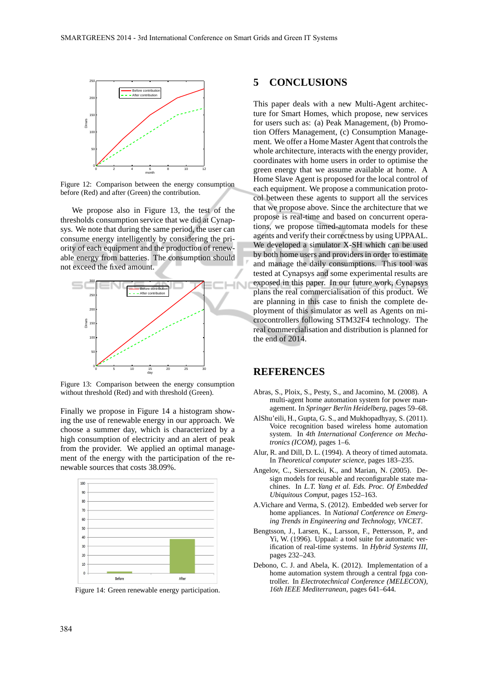

Figure 12: Comparison between the energy consumption before (Red) and after (Green) the contribution.

We propose also in Figure 13, the test of the thresholds consumption service that we did at Cynapsys. We note that during the same period, the user can consume energy intelligently by considering the priority of each equipment and the production of renewable energy from batteries. The consumption should not exceed the fixed amount.



Figure 13: Comparison between the energy consumption without threshold (Red) and with threshold (Green).

Finally we propose in Figure 14 a histogram showing the use of renewable energy in our approach. We choose a summer day, which is characterized by a high consumption of electricity and an alert of peak from the provider. We applied an optimal management of the energy with the participation of the renewable sources that costs 38.09%.



Figure 14: Green renewable energy participation.

## **5 CONCLUSIONS**

This paper deals with a new Multi-Agent architecture for Smart Homes, which propose, new services for users such as: (a) Peak Management, (b) Promotion Offers Management, (c) Consumption Management. We offer a Home Master Agent that controls the whole architecture, interacts with the energy provider, coordinates with home users in order to optimise the green energy that we assume available at home. A Home Slave Agent is proposed for the local control of each equipment. We propose a communication protocol between these agents to support all the services that we propose above. Since the architecture that we propose is real-time and based on concurrent operations, we propose timed-automata models for these agents and verify their correctness by using UPPAAL. We developed a simulator X-SH which can be used by both home users and providers in order to estimate and manage the daily consumptions. This tool was tested at Cynapsys and some experimental results are exposed in this paper. In our future work, Cynapsys plans the real commercialisation of this product. We are planning in this case to finish the complete deployment of this simulator as well as Agents on microcontrollers following STM32F4 technology. The real commercialisation and distribution is planned for the end of 2014.

# **REFERENCES**

- Abras, S., Ploix, S., Pesty, S., and Jacomino, M. (2008). A multi-agent home automation system for power management. In *Springer Berlin Heidelberg*, pages 59–68.
- AlShu'eili, H., Gupta, G. S., and Mukhopadhyay, S. (2011). Voice recognition based wireless home automation system. In *4th International Conference on Mechatronics (ICOM)*, pages 1–6.
- Alur, R. and Dill, D. L. (1994). A theory of timed automata. In *Theoretical computer science*, pages 183–235.
- Angelov, C., Sierszecki, K., and Marian, N. (2005). Design models for reusable and reconfigurable state machines. In *L.T. Yang et al. Eds. Proc. Of Embedded Ubiquitous Comput*, pages 152–163.
- A.Vichare and Verma, S. (2012). Embedded web server for home appliances. In *National Conference on Emerging Trends in Engineering and Technology, VNCET*.
- Bengtsson, J., Larsen, K., Larsson, F., Pettersson, P., and Yi, W. (1996). Uppaal: a tool suite for automatic verification of real-time systems. In *Hybrid Systems III*, pages 232–243.
- Debono, C. J. and Abela, K. (2012). Implementation of a home automation system through a central fpga controller. In *Electrotechnical Conference (MELECON), 16th IEEE Mediterranean*, pages 641–644.